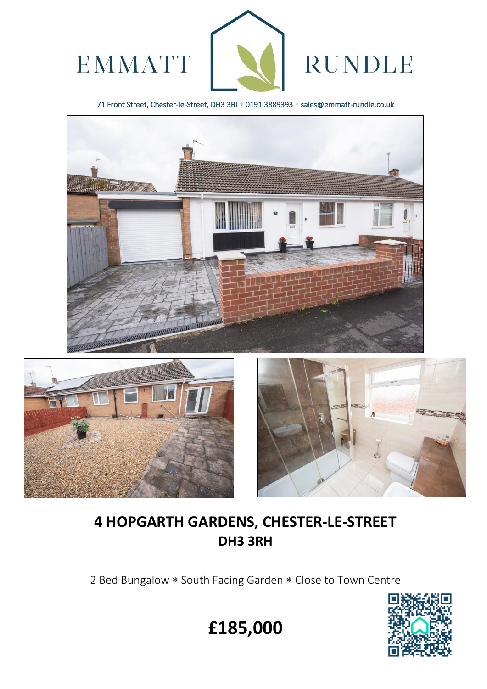

71 Front Street, Chester-le-Street, DH3 3BJ \* 0191 3889393 \* sales@emmatt-rundle.co.uk





ׇ֡



# **4 HOPGARTH GARDENS, CHESTER-LE-STREET DH3 3RH**

2 Bed Bungalow \* South Facing Garden \* Close to Town Centre



**£185,000**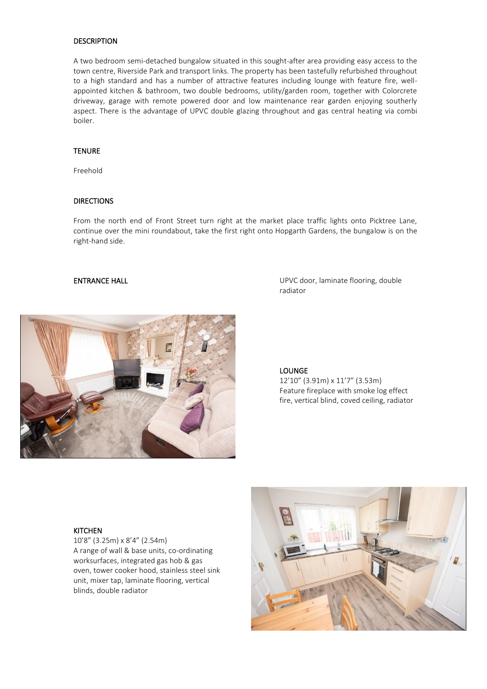# DESCRIPTION

A two bedroom semi-detached bungalow situated in this sought-after area providing easy access to the town centre, Riverside Park and transport links. The property has been tastefully refurbished throughout to a high standard and has a number of attractive features including lounge with feature fire, wellappointed kitchen & bathroom, two double bedrooms, utility/garden room, together with Colorcrete driveway, garage with remote powered door and low maintenance rear garden enjoying southerly aspect. There is the advantage of UPVC double glazing throughout and gas central heating via combi boiler.

# **TENURE**

Freehold

## DIRECTIONS

From the north end of Front Street turn right at the market place traffic lights onto Picktree Lane, continue over the mini roundabout, take the first right onto Hopgarth Gardens, the bungalow is on the right-hand side.

ENTRANCE HALL **ENTRANCE HALL ENTRANCE HALL UPVC** door, laminate flooring, double radiator



### **LOUNGE**

12'10" (3.91m) x 11'7" (3.53m) Feature fireplace with smoke log effect fire, vertical blind, coved ceiling, radiator

### **KITCHEN**

10'8" (3.25m) x 8'4" (2.54m) A range of wall & base units, co-ordinating worksurfaces, integrated gas hob & gas oven, tower cooker hood, stainless steel sink unit, mixer tap, laminate flooring, vertical blinds, double radiator

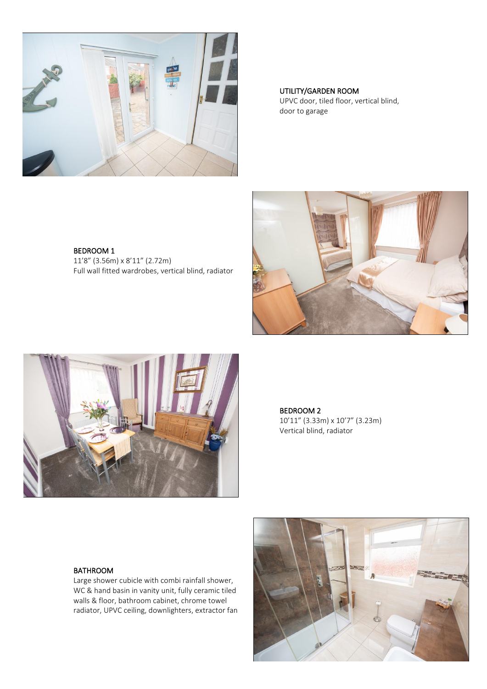

 UTILITY/GARDEN ROOM UPVC door, tiled floor, vertical blind, door to garage

BEDROOM 1 11'8" (3.56m) x 8'11" (2.72m) Full wall fitted wardrobes, vertical blind, radiator





BEDROOM 2 10'11" (3.33m) x 10'7" (3.23m) Vertical blind, radiator

# BATHROOM

Large shower cubicle with combi rainfall shower, WC & hand basin in vanity unit, fully ceramic tiled walls & floor, bathroom cabinet, chrome towel radiator, UPVC ceiling, downlighters, extractor fan